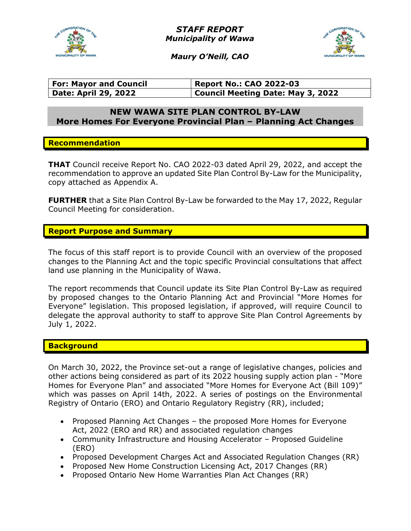

STAFF REPORT Municipality of Wawa



Maury O'Neill, CAO

| <b>For: Mayor and Council</b> | <b>Report No.: CAO 2022-03</b>    |
|-------------------------------|-----------------------------------|
| <b>Date: April 29, 2022</b>   | Council Meeting Date: May 3, 2022 |

# NEW WAWA SITE PLAN CONTROL BY-LAW More Homes For Everyone Provincial Plan – Planning Act Changes

#### Recommendation

THAT Council receive Report No. CAO 2022-03 dated April 29, 2022, and accept the recommendation to approve an updated Site Plan Control By-Law for the Municipality, copy attached as Appendix A.

FURTHER that a Site Plan Control By-Law be forwarded to the May 17, 2022, Regular Council Meeting for consideration.

# Report Purpose and Summary

The focus of this staff report is to provide Council with an overview of the proposed changes to the Planning Act and the topic specific Provincial consultations that affect land use planning in the Municipality of Wawa.

The report recommends that Council update its Site Plan Control By-Law as required by proposed changes to the Ontario Planning Act and Provincial "More Homes for Everyone" legislation. This proposed legislation, if approved, will require Council to delegate the approval authority to staff to approve Site Plan Control Agreements by July 1, 2022.

#### **Background**

On March 30, 2022, the Province set-out a range of legislative changes, policies and other actions being considered as part of its 2022 housing supply action plan - "More Homes for Everyone Plan" and associated "More Homes for Everyone Act (Bill 109)" which was passes on April 14th, 2022. A series of postings on the Environmental Registry of Ontario (ERO) and Ontario Regulatory Registry (RR), included;

- Proposed Planning Act Changes the proposed More Homes for Everyone Act, 2022 (ERO and RR) and associated regulation changes
- Community Infrastructure and Housing Accelerator Proposed Guideline (ERO)
- Proposed Development Charges Act and Associated Regulation Changes (RR)
- Proposed New Home Construction Licensing Act, 2017 Changes (RR)
- Proposed Ontario New Home Warranties Plan Act Changes (RR)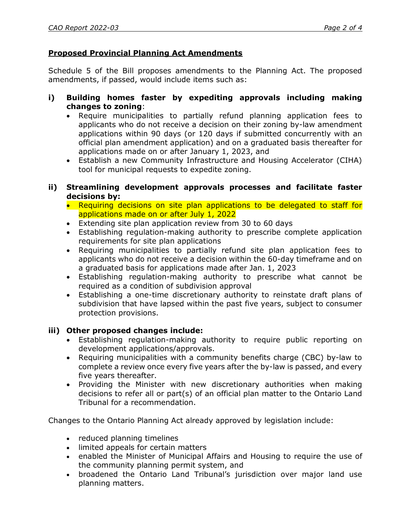# Proposed Provincial Planning Act Amendments

Schedule 5 of the Bill proposes amendments to the Planning Act. The proposed amendments, if passed, would include items such as:

- i) Building homes faster by expediting approvals including making changes to zoning:
	- Require municipalities to partially refund planning application fees to applicants who do not receive a decision on their zoning by-law amendment applications within 90 days (or 120 days if submitted concurrently with an official plan amendment application) and on a graduated basis thereafter for applications made on or after January 1, 2023, and
	- Establish a new Community Infrastructure and Housing Accelerator (CIHA) tool for municipal requests to expedite zoning.
- ii) Streamlining development approvals processes and facilitate faster decisions by:
	- Requiring decisions on site plan applications to be delegated to staff for applications made on or after July 1, 2022
	- Extending site plan application review from 30 to 60 days
	- Establishing regulation-making authority to prescribe complete application requirements for site plan applications
	- Requiring municipalities to partially refund site plan application fees to applicants who do not receive a decision within the 60-day timeframe and on a graduated basis for applications made after Jan. 1, 2023
	- Establishing regulation-making authority to prescribe what cannot be required as a condition of subdivision approval
	- Establishing a one-time discretionary authority to reinstate draft plans of subdivision that have lapsed within the past five years, subject to consumer protection provisions.

# iii) Other proposed changes include:

- Establishing regulation-making authority to require public reporting on development applications/approvals.
- Requiring municipalities with a community benefits charge (CBC) by-law to complete a review once every five years after the by-law is passed, and every five years thereafter.
- Providing the Minister with new discretionary authorities when making decisions to refer all or part(s) of an official plan matter to the Ontario Land Tribunal for a recommendation.

Changes to the Ontario Planning Act already approved by legislation include:

- reduced planning timelines
- limited appeals for certain matters
- enabled the Minister of Municipal Affairs and Housing to require the use of the community planning permit system, and
- broadened the Ontario Land Tribunal's jurisdiction over major land use planning matters.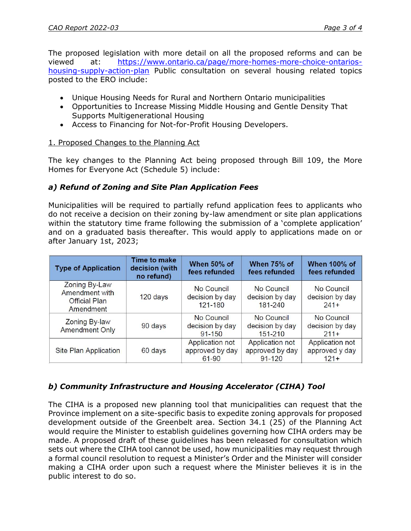The proposed legislation with more detail on all the proposed reforms and can be viewed at: https://www.ontario.ca/page/more-homes-more-choice-ontarioshousing-supply-action-plan Public consultation on several housing related topics posted to the ERO include:

- Unique Housing Needs for Rural and Northern Ontario municipalities
- Opportunities to Increase Missing Middle Housing and Gentle Density That Supports Multigenerational Housing
- Access to Financing for Not-for-Profit Housing Developers.

# 1. Proposed Changes to the Planning Act

The key changes to the Planning Act being proposed through Bill 109, the More Homes for Everyone Act (Schedule 5) include:

# a) Refund of Zoning and Site Plan Application Fees

Municipalities will be required to partially refund application fees to applicants who do not receive a decision on their zoning by-law amendment or site plan applications within the statutory time frame following the submission of a 'complete application' and on a graduated basis thereafter. This would apply to applications made on or after January 1st, 2023;

| <b>Type of Application</b>                                           | <b>Time to make</b><br>decision (with<br>no refund) | When 50% of<br>fees refunded                       | When 75% of<br>fees refunded                            | <b>When 100% of</b><br>fees refunded         |
|----------------------------------------------------------------------|-----------------------------------------------------|----------------------------------------------------|---------------------------------------------------------|----------------------------------------------|
| Zoning By-Law<br>Amendment with<br><b>Official Plan</b><br>Amendment | 120 days                                            | No Council<br>decision by day<br>$121 - 180$       | No Council<br>decision by day<br>181-240                | No Council<br>decision by day<br>$241+$      |
| Zoning By-law<br><b>Amendment Only</b>                               | 90 days                                             | No Council<br>decision by day<br>$91 - 150$        | No Council<br>decision by day<br>151-210                | No Council<br>decision by day<br>$211+$      |
| Site Plan Application                                                | 60 days                                             | <b>Application not</b><br>approved by day<br>61-90 | <b>Application not</b><br>approved by day<br>$91 - 120$ | Application not<br>approved y day<br>$121 +$ |

# b) Community Infrastructure and Housing Accelerator (CIHA) Tool

The CIHA is a proposed new planning tool that municipalities can request that the Province implement on a site-specific basis to expedite zoning approvals for proposed development outside of the Greenbelt area. Section 34.1 (25) of the Planning Act would require the Minister to establish guidelines governing how CIHA orders may be made. A proposed draft of these guidelines has been released for consultation which sets out where the CIHA tool cannot be used, how municipalities may request through a formal council resolution to request a Minister's Order and the Minister will consider making a CIHA order upon such a request where the Minister believes it is in the public interest to do so.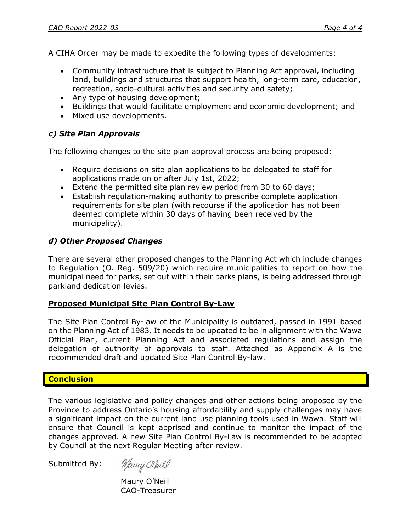A CIHA Order may be made to expedite the following types of developments:

- Community infrastructure that is subject to Planning Act approval, including land, buildings and structures that support health, long-term care, education, recreation, socio-cultural activities and security and safety;
- Any type of housing development;
- Buildings that would facilitate employment and economic development; and
- Mixed use developments.

# c) Site Plan Approvals

The following changes to the site plan approval process are being proposed:

- Require decisions on site plan applications to be delegated to staff for applications made on or after July 1st, 2022;
- Extend the permitted site plan review period from 30 to 60 days;
- Establish regulation-making authority to prescribe complete application requirements for site plan (with recourse if the application has not been deemed complete within 30 days of having been received by the municipality).

# d) Other Proposed Changes

There are several other proposed changes to the Planning Act which include changes to Regulation (O. Reg. 509/20) which require municipalities to report on how the municipal need for parks, set out within their parks plans, is being addressed through parkland dedication levies.

#### Proposed Municipal Site Plan Control By-Law

The Site Plan Control By-law of the Municipality is outdated, passed in 1991 based on the Planning Act of 1983. It needs to be updated to be in alignment with the Wawa Official Plan, current Planning Act and associated regulations and assign the delegation of authority of approvals to staff. Attached as Appendix A is the recommended draft and updated Site Plan Control By-law.

# **Conclusion**

The various legislative and policy changes and other actions being proposed by the Province to address Ontario's housing affordability and supply challenges may have a significant impact on the current land use planning tools used in Wawa. Staff will ensure that Council is kept apprised and continue to monitor the impact of the changes approved. A new Site Plan Control By-Law is recommended to be adopted by Council at the next Regular Meeting after review.

Submitted By:

Many Meil

 Maury O'Neill CAO-Treasurer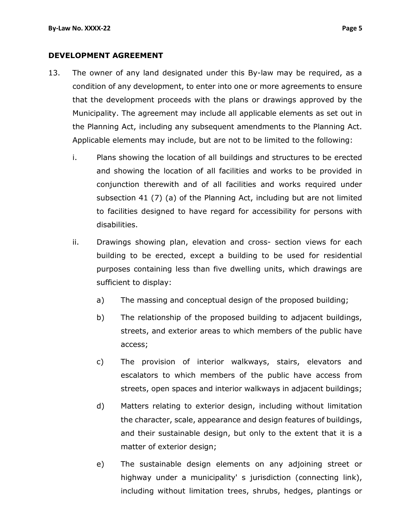#### DEVELOPMENT AGREEMENT

- 13. The owner of any land designated under this By-law may be required, as a condition of any development, to enter into one or more agreements to ensure that the development proceeds with the plans or drawings approved by the Municipality. The agreement may include all applicable elements as set out in the Planning Act, including any subsequent amendments to the Planning Act. Applicable elements may include, but are not to be limited to the following:
	- i. Plans showing the location of all buildings and structures to be erected and showing the location of all facilities and works to be provided in conjunction therewith and of all facilities and works required under subsection 41 (7) (a) of the Planning Act, including but are not limited to facilities designed to have regard for accessibility for persons with disabilities.
	- ii. Drawings showing plan, elevation and cross- section views for each building to be erected, except a building to be used for residential purposes containing less than five dwelling units, which drawings are sufficient to display:
		- a) The massing and conceptual design of the proposed building;
		- b) The relationship of the proposed building to adjacent buildings, streets, and exterior areas to which members of the public have access;
		- c) The provision of interior walkways, stairs, elevators and escalators to which members of the public have access from streets, open spaces and interior walkways in adjacent buildings;
		- d) Matters relating to exterior design, including without limitation the character, scale, appearance and design features of buildings, and their sustainable design, but only to the extent that it is a matter of exterior design;
		- e) The sustainable design elements on any adjoining street or highway under a municipality' s jurisdiction (connecting link), including without limitation trees, shrubs, hedges, plantings or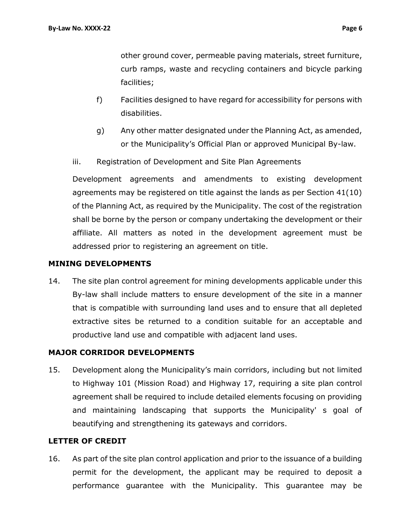other ground cover, permeable paving materials, street furniture, curb ramps, waste and recycling containers and bicycle parking facilities;

- f) Facilities designed to have regard for accessibility for persons with disabilities.
- g) Any other matter designated under the Planning Act, as amended, or the Municipality's Official Plan or approved Municipal By-law.
- iii. Registration of Development and Site Plan Agreements

Development agreements and amendments to existing development agreements may be registered on title against the lands as per Section 41(10) of the Planning Act, as required by the Municipality. The cost of the registration shall be borne by the person or company undertaking the development or their affiliate. All matters as noted in the development agreement must be addressed prior to registering an agreement on title.

#### MINING DEVELOPMENTS

14. The site plan control agreement for mining developments applicable under this By-law shall include matters to ensure development of the site in a manner that is compatible with surrounding land uses and to ensure that all depleted extractive sites be returned to a condition suitable for an acceptable and productive land use and compatible with adjacent land uses.

# MAJOR CORRIDOR DEVELOPMENTS

15. Development along the Municipality's main corridors, including but not limited to Highway 101 (Mission Road) and Highway 17, requiring a site plan control agreement shall be required to include detailed elements focusing on providing and maintaining landscaping that supports the Municipality' s goal of beautifying and strengthening its gateways and corridors.

#### LETTER OF CREDIT

16. As part of the site plan control application and prior to the issuance of a building permit for the development, the applicant may be required to deposit a performance guarantee with the Municipality. This guarantee may be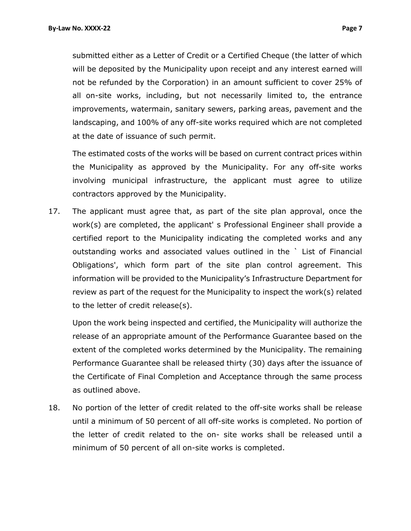submitted either as a Letter of Credit or a Certified Cheque (the latter of which will be deposited by the Municipality upon receipt and any interest earned will not be refunded by the Corporation) in an amount sufficient to cover 25% of all on-site works, including, but not necessarily limited to, the entrance improvements, watermain, sanitary sewers, parking areas, pavement and the landscaping, and 100% of any off-site works required which are not completed at the date of issuance of such permit.

The estimated costs of the works will be based on current contract prices within the Municipality as approved by the Municipality. For any off-site works involving municipal infrastructure, the applicant must agree to utilize contractors approved by the Municipality.

17. The applicant must agree that, as part of the site plan approval, once the work(s) are completed, the applicant' s Professional Engineer shall provide a certified report to the Municipality indicating the completed works and any outstanding works and associated values outlined in the ` List of Financial Obligations', which form part of the site plan control agreement. This information will be provided to the Municipality's Infrastructure Department for review as part of the request for the Municipality to inspect the work(s) related to the letter of credit release(s).

Upon the work being inspected and certified, the Municipality will authorize the release of an appropriate amount of the Performance Guarantee based on the extent of the completed works determined by the Municipality. The remaining Performance Guarantee shall be released thirty (30) days after the issuance of the Certificate of Final Completion and Acceptance through the same process as outlined above.

18. No portion of the letter of credit related to the off-site works shall be release until a minimum of 50 percent of all off-site works is completed. No portion of the letter of credit related to the on- site works shall be released until a minimum of 50 percent of all on-site works is completed.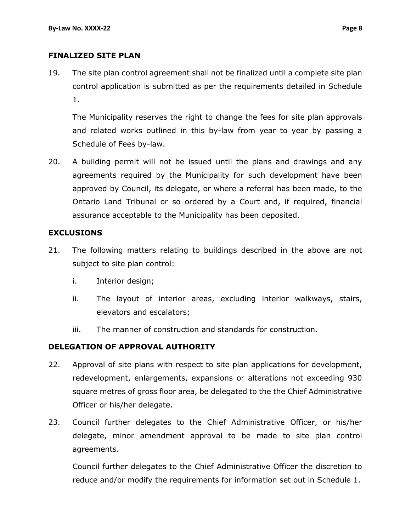#### FINALIZED SITE PLAN

19. The site plan control agreement shall not be finalized until a complete site plan control application is submitted as per the requirements detailed in Schedule 1.

The Municipality reserves the right to change the fees for site plan approvals and related works outlined in this by-law from year to year by passing a Schedule of Fees by-law.

20. A building permit will not be issued until the plans and drawings and any agreements required by the Municipality for such development have been approved by Council, its delegate, or where a referral has been made, to the Ontario Land Tribunal or so ordered by a Court and, if required, financial assurance acceptable to the Municipality has been deposited.

#### EXCLUSIONS

- 21. The following matters relating to buildings described in the above are not subject to site plan control:
	- i. Interior design;
	- ii. The layout of interior areas, excluding interior walkways, stairs, elevators and escalators;
	- iii. The manner of construction and standards for construction.

# DELEGATION OF APPROVAL AUTHORITY

- 22. Approval of site plans with respect to site plan applications for development, redevelopment, enlargements, expansions or alterations not exceeding 930 square metres of gross floor area, be delegated to the the Chief Administrative Officer or his/her delegate.
- 23. Council further delegates to the Chief Administrative Officer, or his/her delegate, minor amendment approval to be made to site plan control agreements.

Council further delegates to the Chief Administrative Officer the discretion to reduce and/or modify the requirements for information set out in Schedule 1.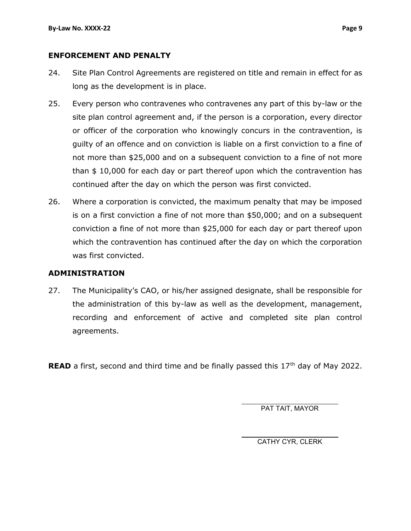#### ENFORCEMENT AND PENALTY

- 24. Site Plan Control Agreements are registered on title and remain in effect for as long as the development is in place.
- 25. Every person who contravenes who contravenes any part of this by-law or the site plan control agreement and, if the person is a corporation, every director or officer of the corporation who knowingly concurs in the contravention, is guilty of an offence and on conviction is liable on a first conviction to a fine of not more than \$25,000 and on a subsequent conviction to a fine of not more than \$ 10,000 for each day or part thereof upon which the contravention has continued after the day on which the person was first convicted.
- 26. Where a corporation is convicted, the maximum penalty that may be imposed is on a first conviction a fine of not more than \$50,000; and on a subsequent conviction a fine of not more than \$25,000 for each day or part thereof upon which the contravention has continued after the day on which the corporation was first convicted.

#### ADMINISTRATION

27. The Municipality's CAO, or his/her assigned designate, shall be responsible for the administration of this by-law as well as the development, management, recording and enforcement of active and completed site plan control agreements.

**READ** a first, second and third time and be finally passed this  $17<sup>th</sup>$  day of May 2022.

PAT TAIT, MAYOR

CATHY CYR, CLERK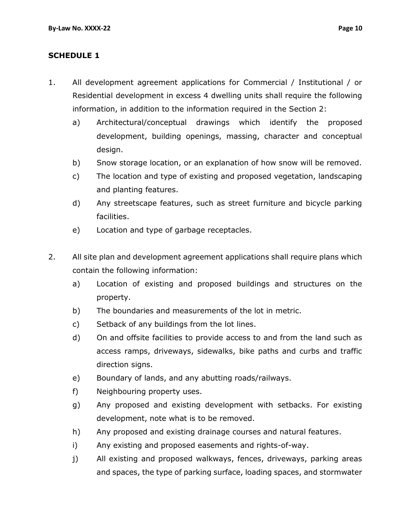# SCHEDULE 1

- 1. All development agreement applications for Commercial / Institutional / or Residential development in excess 4 dwelling units shall require the following information, in addition to the information required in the Section 2:
	- a) Architectural/conceptual drawings which identify the proposed development, building openings, massing, character and conceptual design.
	- b) Snow storage location, or an explanation of how snow will be removed.
	- c) The location and type of existing and proposed vegetation, landscaping and planting features.
	- d) Any streetscape features, such as street furniture and bicycle parking facilities.
	- e) Location and type of garbage receptacles.
- 2. All site plan and development agreement applications shall require plans which contain the following information:
	- a) Location of existing and proposed buildings and structures on the property.
	- b) The boundaries and measurements of the lot in metric.
	- c) Setback of any buildings from the lot lines.
	- d) On and offsite facilities to provide access to and from the land such as access ramps, driveways, sidewalks, bike paths and curbs and traffic direction signs.
	- e) Boundary of lands, and any abutting roads/railways.
	- f) Neighbouring property uses.
	- g) Any proposed and existing development with setbacks. For existing development, note what is to be removed.
	- h) Any proposed and existing drainage courses and natural features.
	- i) Any existing and proposed easements and rights-of-way.
	- j) All existing and proposed walkways, fences, driveways, parking areas and spaces, the type of parking surface, loading spaces, and stormwater